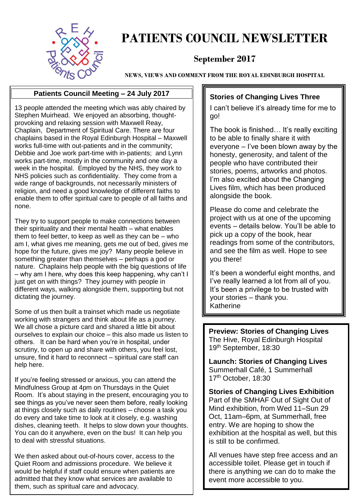

### **PATIENTS COUNCIL NEWSLETTER**

#### **September 2017**

**NEWS, VIEWS AND COMMENT FROM THE ROYAL EDINBURGH HOSPITAL**

#### **Patients Council Meeting – 24 July 2017**

13 people attended the meeting which was ably chaired by Stephen Muirhead. We enjoyed an absorbing, thoughtprovoking and relaxing session with Maxwell Reay, Chaplain, Department of Spiritual Care. There are four chaplains based in the Royal Edinburgh Hospital – Maxwell works full-time with out-patients and in the community; Debbie and Joe work part-time with in-patients; and Lynn works part-time, mostly in the community and one day a week in the hospital. Employed by the NHS, they work to NHS policies such as confidentiality. They come from a wide range of backgrounds, not necessarily ministers of religion, and need a good knowledge of different faiths to enable them to offer spiritual care to people of all faiths and none.

They try to support people to make connections between their spirituality and their mental health – what enables them to feel better, to keep as well as they can be  $-$  who am I, what gives me meaning, gets me out of bed, gives me hope for the future, gives me joy? Many people believe in something greater than themselves – perhaps a god or nature. Chaplains help people with the big questions of life – why am I here, why does this keep happening, why can't I just get on with things? They journey with people in different ways, walking alongside them, supporting but not dictating the journey.

Some of us then built a trainset which made us negotiate working with strangers and think about life as a journey. We all chose a picture card and shared a little bit about ourselves to explain our choice – this also made us listen to others. It can be hard when you're in hospital, under scrutiny, to open up and share with others, you feel lost, unsure, find it hard to reconnect – spiritual care staff can help here.

If you're feeling stressed or anxious, you can attend the Mindfulness Group at 4pm on Thursdays in the Quiet Room. It's about staying in the present, encouraging you to see things as you've never seen them before, really looking at things closely such as daily routines – choose a task you do every and take time to look at it closely, e.g. washing dishes, cleaning teeth. It helps to slow down your thoughts. You can do it anywhere, even on the bus! It can help you to deal with stressful situations.

We then asked about out-of-hours cover, access to the Quiet Room and admissions procedure. We believe it would be helpful if staff could ensure when patients are admitted that they know what services are available to them, such as spiritual care and advocacy.

#### **Stories of Changing Lives Three**

I can't believe it's already time for me to go!

The book is finished… It's really exciting to be able to finally share it with everyone – I've been blown away by the honesty, generosity, and talent of the people who have contributed their stories, poems, artworks and photos. I'm also excited about the Changing Lives film, which has been produced alongside the book.

Please do come and celebrate the project with us at one of the upcoming events – details below. You'll be able to pick up a copy of the book, hear readings from some of the contributors, and see the film as well. Hope to see you there!

It's been a wonderful eight months, and I've really learned a lot from all of you. It's been a privilege to be trusted with your stories – thank you. Katherine

**Preview: Stories of Changing Lives** The Hive, Royal Edinburgh Hospital 19th September, 18:30

**Launch: Stories of Changing Lives**  Summerhall Café, 1 Summerhall 17<sup>th</sup> October, 18:30

**Stories of Changing Lives Exhibition** Part of the SMHAF Out of Sight Out of Mind exhibition, from Wed 11–Sun 29 Oct, 11am–6pm, at Summerhall, free entry. We are hoping to show the exhibition at the hospital as well, but this is still to be confirmed.

All venues have step free access and an accessible toilet. Please get in touch if there is anything we can do to make the event more accessible to you.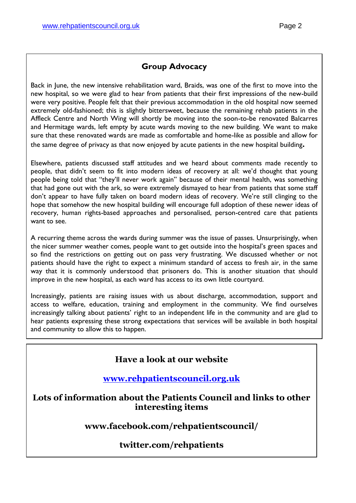#### **Group Advocacy**

Back in June, the new intensive rehabilitation ward, Braids, was one of the first to move into the new hospital, so we were glad to hear from patients that their first impressions of the new-build were very positive. People felt that their previous accommodation in the old hospital now seemed extremely old-fashioned; this is slightly bittersweet, because the remaining rehab patients in the Affleck Centre and North Wing will shortly be moving into the soon-to-be renovated Balcarres and Hermitage wards, left empty by acute wards moving to the new building. We want to make sure that these renovated wards are made as comfortable and home-like as possible and allow for the same degree of privacy as that now enjoyed by acute patients in the new hospital building**.**

Elsewhere, patients discussed staff attitudes and we heard about comments made recently to people, that didn't seem to fit into modern ideas of recovery at all: we'd thought that young people being told that "they'll never work again" because of their mental health, was something that had gone out with the ark, so were extremely dismayed to hear from patients that some staff don't appear to have fully taken on board modern ideas of recovery. We're still clinging to the hope that somehow the new hospital building will encourage full adoption of these newer ideas of recovery, human rights-based approaches and personalised, person-centred care that patients want to see.

A recurring theme across the wards during summer was the issue of passes. Unsurprisingly, when the nicer summer weather comes, people want to get outside into the hospital's green spaces and so find the restrictions on getting out on pass very frustrating. We discussed whether or not patients should have the right to expect a minimum standard of access to fresh air, in the same way that it is commonly understood that prisoners do. This is another situation that should improve in the new hospital, as each ward has access to its own little courtyard.

Increasingly, patients are raising issues with us about discharge, accommodation, support and access to welfare, education, training and employment in the community. We find ourselves increasingly talking about patients' right to an independent life in the community and are glad to hear patients expressing these strong expectations that services will be available in both hospital and community to allow this to happen.

#### **Have a look at our website**

#### **[www.rehpatientscouncil.org.uk](http://www.rehpatientscouncil.org.uk/)**

**Lots of information about the Patients Council and links to other interesting items**

**www.facebook.com/rehpatientscouncil/**

#### **twitter.com/rehpatients**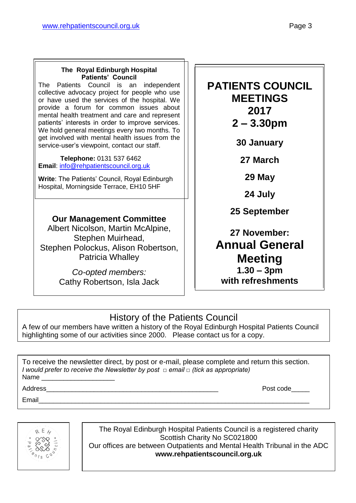#### **The Royal Edinburgh Hospital Patients' Council**

The Patients Council is an independent collective advocacy project for people who use or have used the services of the hospital. We provide a forum for common issues about mental health treatment and care and represent patients' interests in order to improve services. We hold general meetings every two months. To get involved with mental health issues from the service-user's viewpoint, contact our staff.

 **Telephone:** 0131 537 6462 **Email**: [info@rehpatientscouncil.org.uk](mailto:info@rehpatientscouncil.org.uk)

**Write**: The Patients' Council, Royal Edinburgh Hospital, Morningside Terrace, EH10 5HF

#### **Our Management Committee**

Albert Nicolson, Martin McAlpine, Stephen Muirhead, Stephen Polockus, Alison Robertson, Patricia Whalley

> *Co-opted members:* Cathy Robertson, Isla Jack

#### **PATIENTS COUNCIL MEETINGS 2017 2 – 3.30pm**

**30 January**

**27 March**

**29 May**

**24 July**

**25 September**

**27 November: Annual General Meeting 1.30 – 3pm with refreshments**

#### History of the Patients Council

A few of our members have written a history of the Royal Edinburgh Hospital Patients Council highlighting some of our activities since 2000. Please contact us for a copy.

To receive the newsletter direct, by post or e-mail, please complete and return this section. *I would prefer to receive the Newsletter by post □ email □ (tick as appropriate)* Name

Email\_\_\_\_\_\_\_\_\_\_\_\_\_\_\_\_\_\_\_\_\_\_\_\_\_\_\_\_\_\_\_\_\_\_\_\_\_\_\_\_\_\_\_\_\_\_\_\_\_\_\_\_\_\_\_\_\_\_\_\_\_\_\_\_\_\_\_\_\_\_\_\_\_\_

Address **Address Post code** 

 $R E$ 

The Royal Edinburgh Hospital Patients Council is a registered charity Scottish Charity No SC021800 Our offices are between Outpatients and Mental Health Tribunal in the ADC **www.rehpatientscouncil.org.uk**